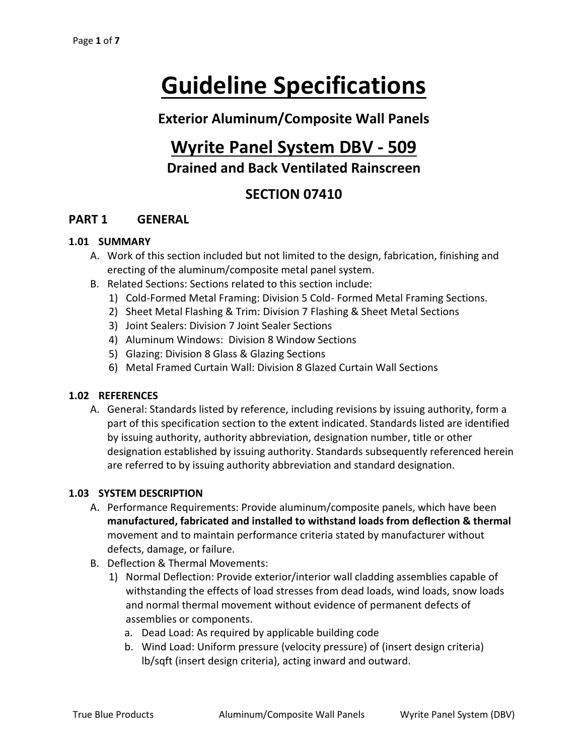# **Guideline Specifications**

## **Exterior Aluminum/Composite Wall Panels**

# **Wyrite Panel System DBV - 509 Drained and Back Ventilated Rainscreen**

## **SECTION 07410**

#### **PART 1 GENERAL**

#### **1.01 SUMMARY**

- A. Work of this section included but not limited to the design, fabrication, finishing and erecting of the aluminum/composite metal panel system.
- B. Related Sections: Sections related to this section include:
	- 1) Cold-Formed Metal Framing: Division 5 Cold- Formed Metal Framing Sections.
	- 2) Sheet Metal Flashing & Trim: Division 7 Flashing & Sheet Metal Sections
	- 3) Joint Sealers: Division 7 Joint Sealer Sections
	- 4) Aluminum Windows: Division 8 Window Sections
	- 5) Glazing: Division 8 Glass & Glazing Sections
	- 6) Metal Framed Curtain Wall: Division 8 Glazed Curtain Wall Sections

#### **1.02 REFERENCES**

A. General: Standards listed by reference, including revisions by issuing authority, form a part of this specification section to the extent indicated. Standards listed are identified by issuing authority, authority abbreviation, designation number, title or other designation established by issuing authority. Standards subsequently referenced herein are referred to by issuing authority abbreviation and standard designation.

#### **1.03 SYSTEM DESCRIPTION**

- A. Performance Requirements: Provide aluminum/composite panels, which have been **manufactured, fabricated and installed to withstand loads from deflection & thermal** movement and to maintain performance criteria stated by manufacturer without defects, damage, or failure.
- B. Deflection & Thermal Movements:
	- 1) Normal Deflection: Provide exterior/interior wall cladding assemblies capable of withstanding the effects of load stresses from dead loads, wind loads, snow loads and normal thermal movement without evidence of permanent defects of assemblies or components.
		- a. Dead Load: As required by applicable building code
		- b. Wind Load: Uniform pressure (velocity pressure) of (insert design criteria) lb/sqft (insert design criteria), acting inward and outward.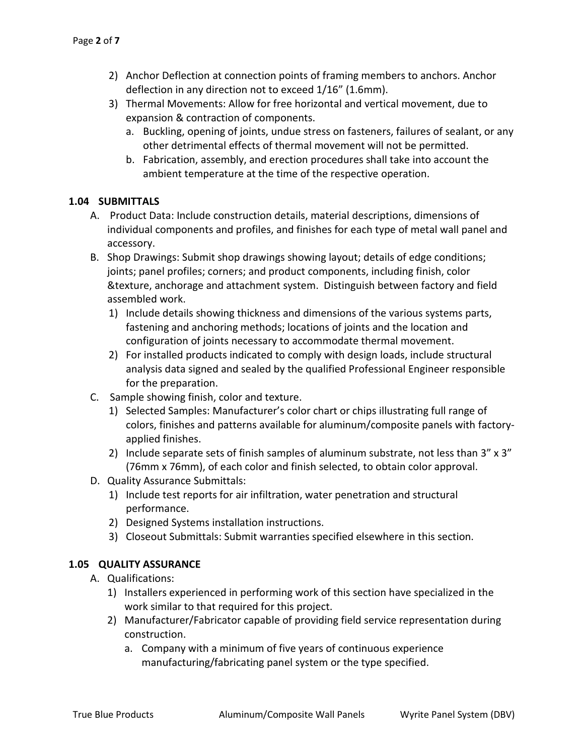- 2) Anchor Deflection at connection points of framing members to anchors. Anchor deflection in any direction not to exceed 1/16" (1.6mm).
- 3) Thermal Movements: Allow for free horizontal and vertical movement, due to expansion & contraction of components.
	- a. Buckling, opening of joints, undue stress on fasteners, failures of sealant, or any other detrimental effects of thermal movement will not be permitted.
	- b. Fabrication, assembly, and erection procedures shall take into account the ambient temperature at the time of the respective operation.

#### **1.04 SUBMITTALS**

- A. Product Data: Include construction details, material descriptions, dimensions of individual components and profiles, and finishes for each type of metal wall panel and accessory.
- B. Shop Drawings: Submit shop drawings showing layout; details of edge conditions; joints; panel profiles; corners; and product components, including finish, color &texture, anchorage and attachment system. Distinguish between factory and field assembled work.
	- 1) Include details showing thickness and dimensions of the various systems parts, fastening and anchoring methods; locations of joints and the location and configuration of joints necessary to accommodate thermal movement.
	- 2) For installed products indicated to comply with design loads, include structural analysis data signed and sealed by the qualified Professional Engineer responsible for the preparation.
- C. Sample showing finish, color and texture.
	- 1) Selected Samples: Manufacturer's color chart or chips illustrating full range of colors, finishes and patterns available for aluminum/composite panels with factoryapplied finishes.
	- 2) Include separate sets of finish samples of aluminum substrate, not less than  $3'' \times 3''$ (76mm x 76mm), of each color and finish selected, to obtain color approval.
- D. Quality Assurance Submittals:
	- 1) Include test reports for air infiltration, water penetration and structural performance.
	- 2) Designed Systems installation instructions.
	- 3) Closeout Submittals: Submit warranties specified elsewhere in this section.

#### **1.05 QUALITY ASSURANCE**

- A. Qualifications:
	- 1) Installers experienced in performing work of this section have specialized in the work similar to that required for this project.
	- 2) Manufacturer/Fabricator capable of providing field service representation during construction.
		- a. Company with a minimum of five years of continuous experience manufacturing/fabricating panel system or the type specified.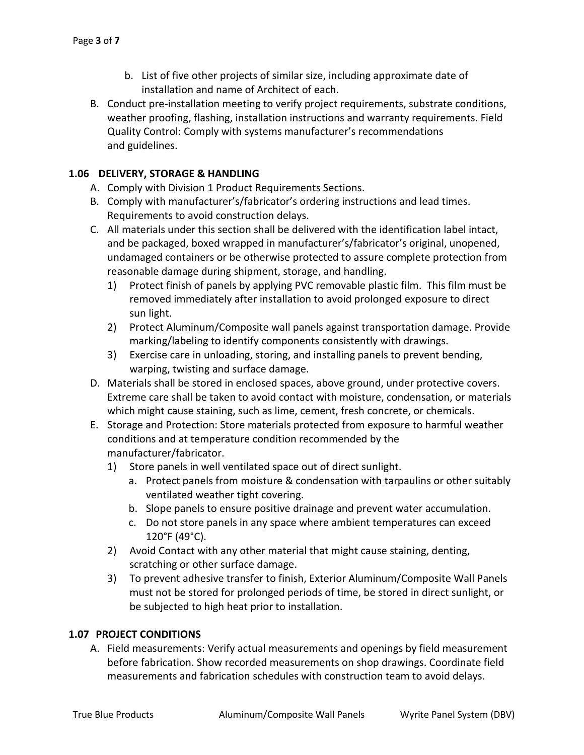- b. List of five other projects of similar size, including approximate date of installation and name of Architect of each.
- B. Conduct pre-installation meeting to verify project requirements, substrate conditions, weather proofing, flashing, installation instructions and warranty requirements. Field Quality Control: Comply with systems manufacturer's recommendations and guidelines.

#### **1.06 DELIVERY, STORAGE & HANDLING**

- A. Comply with Division 1 Product Requirements Sections.
- B. Comply with manufacturer's/fabricator's ordering instructions and lead times. Requirements to avoid construction delays.
- C. All materials under this section shall be delivered with the identification label intact, and be packaged, boxed wrapped in manufacturer's/fabricator's original, unopened, undamaged containers or be otherwise protected to assure complete protection from reasonable damage during shipment, storage, and handling.
	- 1) Protect finish of panels by applying PVC removable plastic film. This film must be removed immediately after installation to avoid prolonged exposure to direct sun light.
	- 2) Protect Aluminum/Composite wall panels against transportation damage. Provide marking/labeling to identify components consistently with drawings.
	- 3) Exercise care in unloading, storing, and installing panels to prevent bending, warping, twisting and surface damage.
- D. Materials shall be stored in enclosed spaces, above ground, under protective covers. Extreme care shall be taken to avoid contact with moisture, condensation, or materials which might cause staining, such as lime, cement, fresh concrete, or chemicals.
- E. Storage and Protection: Store materials protected from exposure to harmful weather conditions and at temperature condition recommended by the manufacturer/fabricator.
	- 1) Store panels in well ventilated space out of direct sunlight.
		- a. Protect panels from moisture & condensation with tarpaulins or other suitably ventilated weather tight covering.
		- b. Slope panels to ensure positive drainage and prevent water accumulation.
		- c. Do not store panels in any space where ambient temperatures can exceed 120°F (49°C).
	- 2) Avoid Contact with any other material that might cause staining, denting, scratching or other surface damage.
	- 3) To prevent adhesive transfer to finish, Exterior Aluminum/Composite Wall Panels must not be stored for prolonged periods of time, be stored in direct sunlight, or be subjected to high heat prior to installation.

#### **1.07 PROJECT CONDITIONS**

A. Field measurements: Verify actual measurements and openings by field measurement before fabrication. Show recorded measurements on shop drawings. Coordinate field measurements and fabrication schedules with construction team to avoid delays.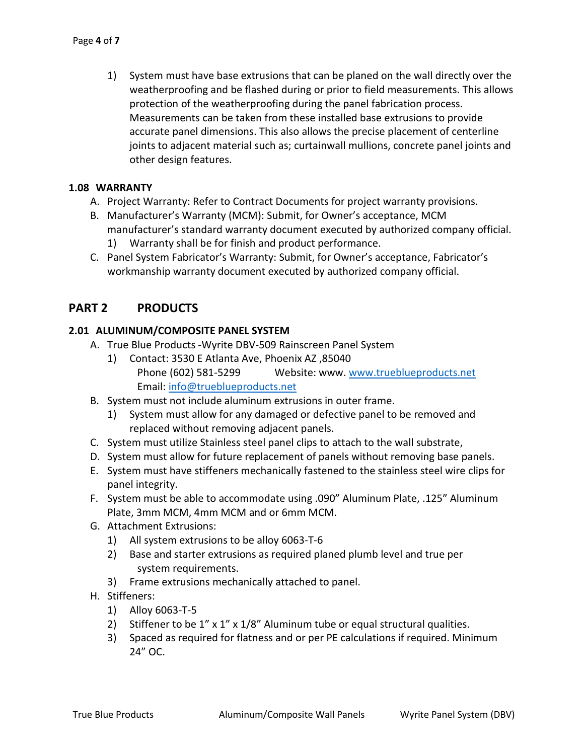1) System must have base extrusions that can be planed on the wall directly over the weatherproofing and be flashed during or prior to field measurements. This allows protection of the weatherproofing during the panel fabrication process. Measurements can be taken from these installed base extrusions to provide accurate panel dimensions. This also allows the precise placement of centerline joints to adjacent material such as; curtainwall mullions, concrete panel joints and other design features.

#### **1.08 WARRANTY**

- A. Project Warranty: Refer to Contract Documents for project warranty provisions.
- B. Manufacturer's Warranty (MCM): Submit, for Owner's acceptance, MCM manufacturer's standard warranty document executed by authorized company official.
	- 1) Warranty shall be for finish and product performance.
- C. Panel System Fabricator's Warranty: Submit, for Owner's acceptance, Fabricator's workmanship warranty document executed by authorized company official.

#### **PART 2 PRODUCTS**

#### **2.01 ALUMINUM/COMPOSITE PANEL SYSTEM**

- A. True Blue Products -Wyrite DBV-509 Rainscreen Panel System
	- 1) Contact: 3530 E Atlanta Ave, Phoenix AZ ,85040 Phone (602) 581-5299 Website: www. [www.trueblueproducts.net](http://www.trueblueproducts.net/)  Email: [info@trueblueproducts.net](mailto:info@trueblueproducts.net)
- B. System must not include aluminum extrusions in outer frame.
	- 1) System must allow for any damaged or defective panel to be removed and replaced without removing adjacent panels.
- C. System must utilize Stainless steel panel clips to attach to the wall substrate,
- D. System must allow for future replacement of panels without removing base panels.
- E. System must have stiffeners mechanically fastened to the stainless steel wire clips for panel integrity.
- F. System must be able to accommodate using .090" Aluminum Plate, .125" Aluminum Plate, 3mm MCM, 4mm MCM and or 6mm MCM.
- G. Attachment Extrusions:
	- 1) All system extrusions to be alloy 6063-T-6
	- 2) Base and starter extrusions as required planed plumb level and true per system requirements.
	- 3) Frame extrusions mechanically attached to panel.
- H. Stiffeners:
	- 1) Alloy 6063-T-5
	- 2) Stiffener to be 1" x 1" x 1/8" Aluminum tube or equal structural qualities.
	- 3) Spaced as required for flatness and or per PE calculations if required. Minimum 24" OC.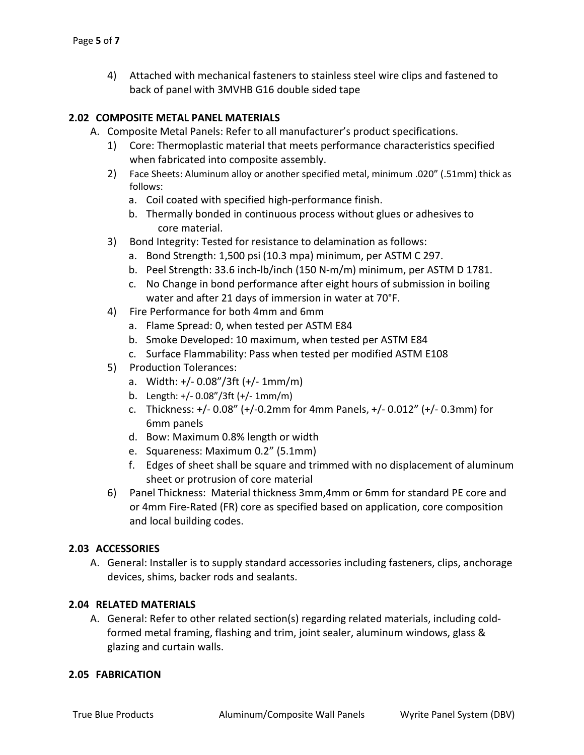4) Attached with mechanical fasteners to stainless steel wire clips and fastened to back of panel with 3MVHB G16 double sided tape

#### **2.02 COMPOSITE METAL PANEL MATERIALS**

- A. Composite Metal Panels: Refer to all manufacturer's product specifications.
	- 1) Core: Thermoplastic material that meets performance characteristics specified when fabricated into composite assembly.
	- 2) Face Sheets: Aluminum alloy or another specified metal, minimum .020" (.51mm) thick as follows:
		- a. Coil coated with specified high-performance finish.
		- b. Thermally bonded in continuous process without glues or adhesives to core material.
	- 3) Bond Integrity: Tested for resistance to delamination as follows:
		- a. Bond Strength: 1,500 psi (10.3 mpa) minimum, per ASTM C 297.
		- b. Peel Strength: 33.6 inch-lb/inch (150 N-m/m) minimum, per ASTM D 1781.
		- c. No Change in bond performance after eight hours of submission in boiling water and after 21 days of immersion in water at 70°F.
	- 4) Fire Performance for both 4mm and 6mm
		- a. Flame Spread: 0, when tested per ASTM E84
		- b. Smoke Developed: 10 maximum, when tested per ASTM E84
		- c. Surface Flammability: Pass when tested per modified ASTM E108
	- 5) Production Tolerances:
		- a. Width: +/- 0.08"/3ft (+/- 1mm/m)
		- b. Length: +/- 0.08"/3ft (+/- 1mm/m)
		- c. Thickness: +/- 0.08" (+/-0.2mm for 4mm Panels, +/- 0.012" (+/- 0.3mm) for 6mm panels
		- d. Bow: Maximum 0.8% length or width
		- e. Squareness: Maximum 0.2" (5.1mm)
		- f. Edges of sheet shall be square and trimmed with no displacement of aluminum sheet or protrusion of core material
	- 6) Panel Thickness: Material thickness 3mm,4mm or 6mm for standard PE core and or 4mm Fire-Rated (FR) core as specified based on application, core composition and local building codes.

#### **2.03 ACCESSORIES**

A. General: Installer is to supply standard accessories including fasteners, clips, anchorage devices, shims, backer rods and sealants.

#### **2.04 RELATED MATERIALS**

A. General: Refer to other related section(s) regarding related materials, including coldformed metal framing, flashing and trim, joint sealer, aluminum windows, glass & glazing and curtain walls.

#### **2.05 FABRICATION**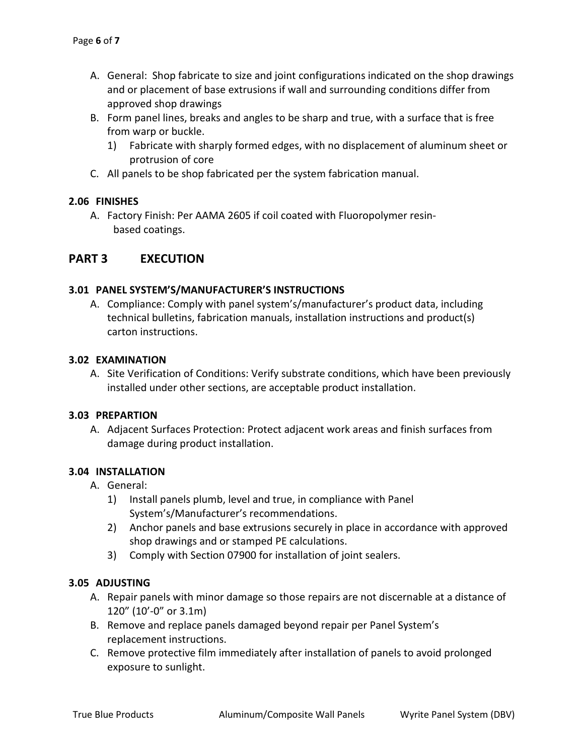- A. General: Shop fabricate to size and joint configurations indicated on the shop drawings and or placement of base extrusions if wall and surrounding conditions differ from approved shop drawings
- B. Form panel lines, breaks and angles to be sharp and true, with a surface that is free from warp or buckle.
	- 1) Fabricate with sharply formed edges, with no displacement of aluminum sheet or protrusion of core
- C. All panels to be shop fabricated per the system fabrication manual.

#### **2.06 FINISHES**

A. Factory Finish: Per AAMA 2605 if coil coated with Fluoropolymer resinbased coatings.

#### **PART 3 EXECUTION**

#### **3.01 PANEL SYSTEM'S/MANUFACTURER'S INSTRUCTIONS**

A. Compliance: Comply with panel system's/manufacturer's product data, including technical bulletins, fabrication manuals, installation instructions and product(s) carton instructions.

#### **3.02 EXAMINATION**

A. Site Verification of Conditions: Verify substrate conditions, which have been previously installed under other sections, are acceptable product installation.

#### **3.03 PREPARTION**

A. Adjacent Surfaces Protection: Protect adjacent work areas and finish surfaces from damage during product installation.

#### **3.04 INSTALLATION**

- A. General:
	- 1) Install panels plumb, level and true, in compliance with Panel System's/Manufacturer's recommendations.
	- 2) Anchor panels and base extrusions securely in place in accordance with approved shop drawings and or stamped PE calculations.
	- 3) Comply with Section 07900 for installation of joint sealers.

#### **3.05 ADJUSTING**

- A. Repair panels with minor damage so those repairs are not discernable at a distance of 120" (10'-0" or 3.1m)
- B. Remove and replace panels damaged beyond repair per Panel System's replacement instructions.
- C. Remove protective film immediately after installation of panels to avoid prolonged exposure to sunlight.